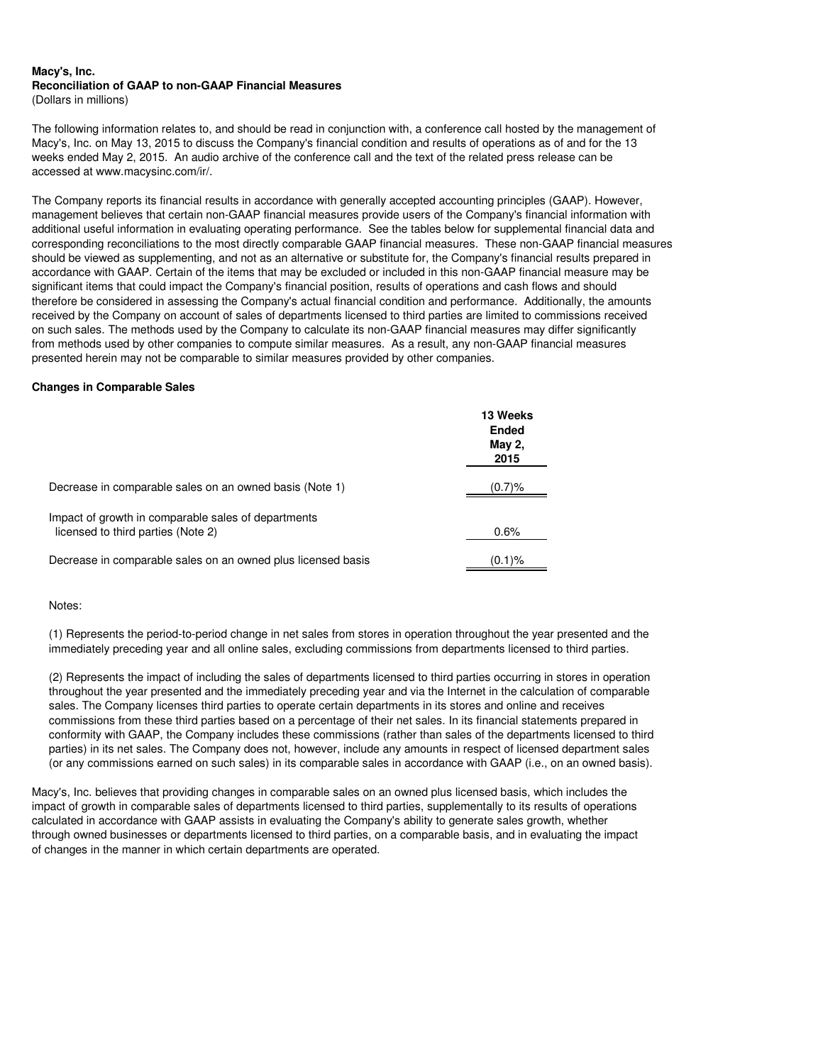#### **Macy's, Inc. Reconciliation of GAAP to non-GAAP Financial Measures** (Dollars in millions)

The following information relates to, and should be read in conjunction with, a conference call hosted by the management of Macy's, Inc. on May 13, 2015 to discuss the Company's financial condition and results of operations as of and for the 13 weeks ended May 2, 2015. An audio archive of the conference call and the text of the related press release can be accessed at www.macysinc.com/ir/.

The Company reports its financial results in accordance with generally accepted accounting principles (GAAP). However, management believes that certain non-GAAP financial measures provide users of the Company's financial information with additional useful information in evaluating operating performance. See the tables below for supplemental financial data and corresponding reconciliations to the most directly comparable GAAP financial measures. These non-GAAP financial measures should be viewed as supplementing, and not as an alternative or substitute for, the Company's financial results prepared in accordance with GAAP. Certain of the items that may be excluded or included in this non-GAAP financial measure may be significant items that could impact the Company's financial position, results of operations and cash flows and should therefore be considered in assessing the Company's actual financial condition and performance. Additionally, the amounts received by the Company on account of sales of departments licensed to third parties are limited to commissions received on such sales. The methods used by the Company to calculate its non-GAAP financial measures may differ significantly from methods used by other companies to compute similar measures. As a result, any non-GAAP financial measures presented herein may not be comparable to similar measures provided by other companies.

### **Changes in Comparable Sales**

|                                                                                           | 13 Weeks<br>Ended<br>May 2,<br>2015 |
|-------------------------------------------------------------------------------------------|-------------------------------------|
| Decrease in comparable sales on an owned basis (Note 1)                                   | $(0.7) \%$                          |
| Impact of growth in comparable sales of departments<br>licensed to third parties (Note 2) | 0.6%                                |
| Decrease in comparable sales on an owned plus licensed basis                              | $(0.1)$ %                           |

### Notes:

(1) Represents the period-to-period change in net sales from stores in operation throughout the year presented and the immediately preceding year and all online sales, excluding commissions from departments licensed to third parties.

(2) Represents the impact of including the sales of departments licensed to third parties occurring in stores in operation throughout the year presented and the immediately preceding year and via the Internet in the calculation of comparable sales. The Company licenses third parties to operate certain departments in its stores and online and receives commissions from these third parties based on a percentage of their net sales. In its financial statements prepared in conformity with GAAP, the Company includes these commissions (rather than sales of the departments licensed to third parties) in its net sales. The Company does not, however, include any amounts in respect of licensed department sales (or any commissions earned on such sales) in its comparable sales in accordance with GAAP (i.e., on an owned basis).

Macy's, Inc. believes that providing changes in comparable sales on an owned plus licensed basis, which includes the impact of growth in comparable sales of departments licensed to third parties, supplementally to its results of operations calculated in accordance with GAAP assists in evaluating the Company's ability to generate sales growth, whether through owned businesses or departments licensed to third parties, on a comparable basis, and in evaluating the impact of changes in the manner in which certain departments are operated.